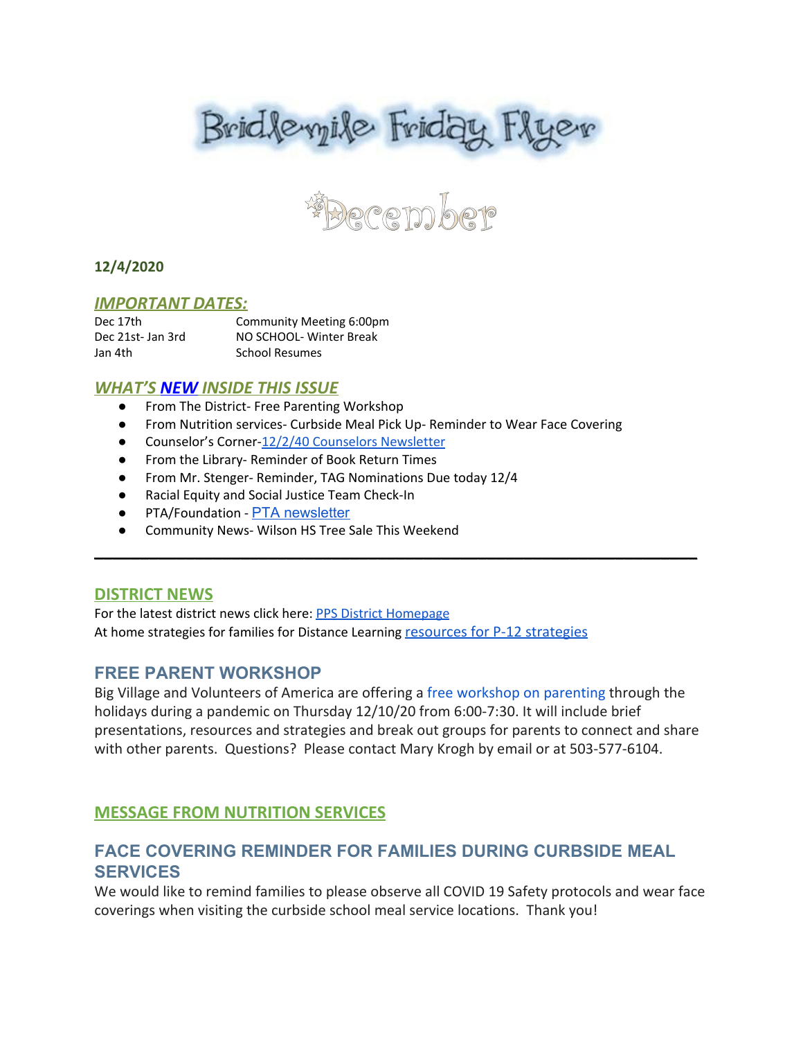



## **12/4/2020**

### *IMPORTANT DATES:*

Dec 17th Community Meeting 6:00pm Dec 21st- Jan 3rd NO SCHOOL- Winter Break Jan 4th School Resumes

## *WHAT'S NEW INSIDE THIS ISSUE*

- From The District- Free Parenting Workshop
- From Nutrition services- Curbside Meal Pick Up- Reminder to Wear Face Covering
- Counselor's Corner-12/2/40 [Counselors](https://docs.google.com/document/d/1SDRgXZjTmgU-2J6MnsbTyYFNFGk5xKuxLmedoMT3sA0/edit?usp=sharing) Newsletter
- From the Library- Reminder of Book Return Times
- From Mr. Stenger- Reminder, TAG Nominations Due today 12/4
- Racial Equity and Social Justice Team Check-In
- PTA/Foundation PTA [newsletter](https://docs.google.com/document/d/e/2PACX-1vQlZCPHtKxqO7qpJwiwgoeaZ1ERHVLgg6z0JNYJMTulwn7xlOVY_X2I1ZV9nntsGHP57LEZ_uSufaFj/pub)
- Community News- Wilson HS Tree Sale This Weekend

### **DISTRICT NEWS**

For the latest district news click here: PPS District [Homepage](https://www.pps.net/portland) At home strategies for families for Distance Learning [resources for P-12 strategies](https://sites.google.com/pps.net/athomestrategies/home)

## **FREE PARENT WORKSHOP**

Big Village and Volunteers of America are offering a [free workshop on parenting](https://drive.google.com/file/d/1heoSvH75_7ogthScVeyiWKSW9xqXTMQu/view?usp=sharing) through the holidays during a pandemic on Thursday 12/10/20 from 6:00-7:30. It will include brief presentations, resources and strategies and break out groups for parents to connect and share with other parents. Questions? Please contact Mary Krogh by email or at 503-577-6104.

\_\_\_\_\_\_\_\_\_\_\_\_\_\_\_\_\_\_\_\_\_\_\_\_\_\_\_\_\_\_\_\_\_\_\_\_\_\_\_\_\_\_\_\_\_\_\_\_\_\_\_\_\_\_\_\_\_\_\_\_\_\_\_\_\_\_

## **MESSAGE FROM NUTRITION SERVICES**

## **FACE COVERING REMINDER FOR FAMILIES DURING CURBSIDE MEAL SERVICES**

We would like to remind families to please observe all COVID 19 Safety protocols and wear face coverings when visiting the curbside school meal service locations. Thank you!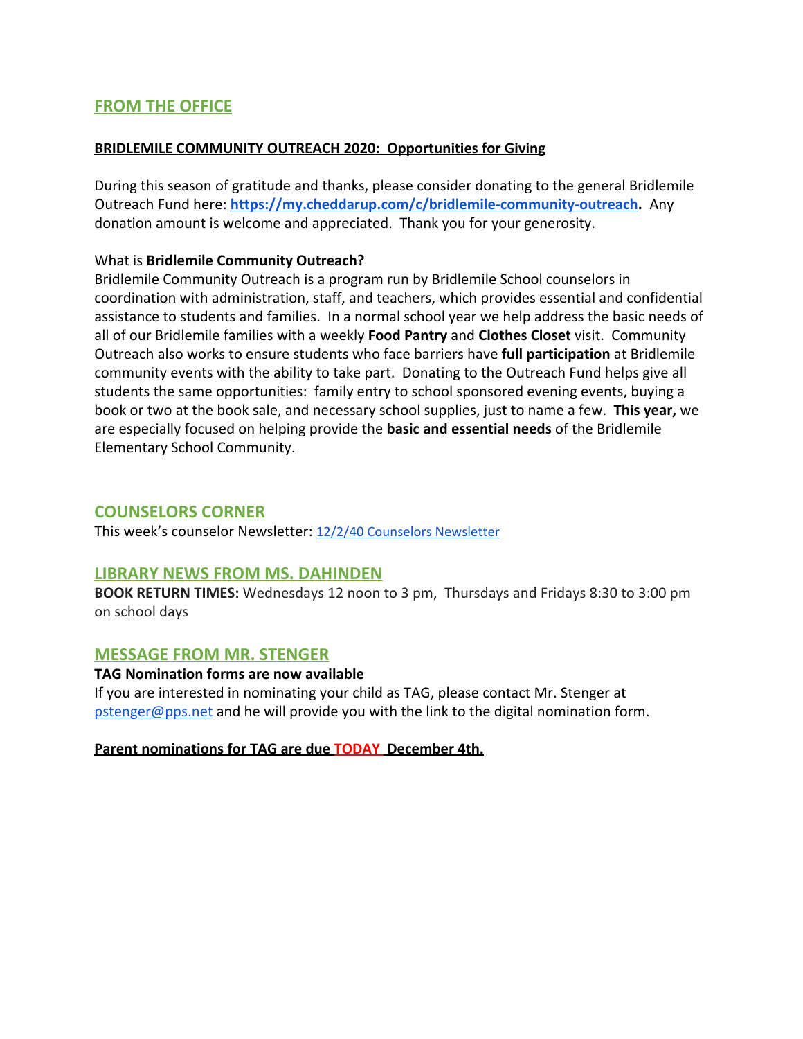## **FROM THE OFFICE**

### **BRIDLEMILE COMMUNITY OUTREACH 2020: Opportunities for Giving**

During this season of gratitude and thanks, please consider donating to the general Bridlemile Outreach Fund here: **[https://my.cheddarup.com/c/bridlemile-community-outreach.](https://my.cheddarup.com/c/bridlemile-community-outreach)** Any donation amount is welcome and appreciated. Thank you for your generosity.

## What is **Bridlemile Community Outreach?**

Bridlemile Community Outreach is a program run by Bridlemile School counselors in coordination with administration, staff, and teachers, which provides essential and confidential assistance to students and families. In a normal school year we help address the basic needs of all of our Bridlemile families with a weekly **Food Pantry** and **Clothes Closet** visit. Community Outreach also works to ensure students who face barriers have **full participation** at Bridlemile community events with the ability to take part. Donating to the Outreach Fund helps give all students the same opportunities: family entry to school sponsored evening events, buying a book or two at the book sale, and necessary school supplies, just to name a few. **This year,** we are especially focused on helping provide the **basic and essential needs** of the Bridlemile Elementary School Community.

## **COUNSELORS CORNER**

This week's counselor Newsletter: 12/2/40 [Counselors](https://docs.google.com/document/d/1SDRgXZjTmgU-2J6MnsbTyYFNFGk5xKuxLmedoMT3sA0/edit?usp=sharing) Newsletter

## **LIBRARY NEWS FROM MS. DAHINDEN**

**BOOK RETURN TIMES:** Wednesdays 12 noon to 3 pm, Thursdays and Fridays 8:30 to 3:00 pm on school days

## **MESSAGE FROM MR. STENGER**

### **TAG Nomination forms are now available**

If you are interested in nominating your child as TAG, please contact Mr. Stenger at [pstenger@pps.net](mailto:pstenger@pps.net) and he will provide you with the link to the digital nomination form.

**Parent nominations for TAG are due TODAY December 4th.**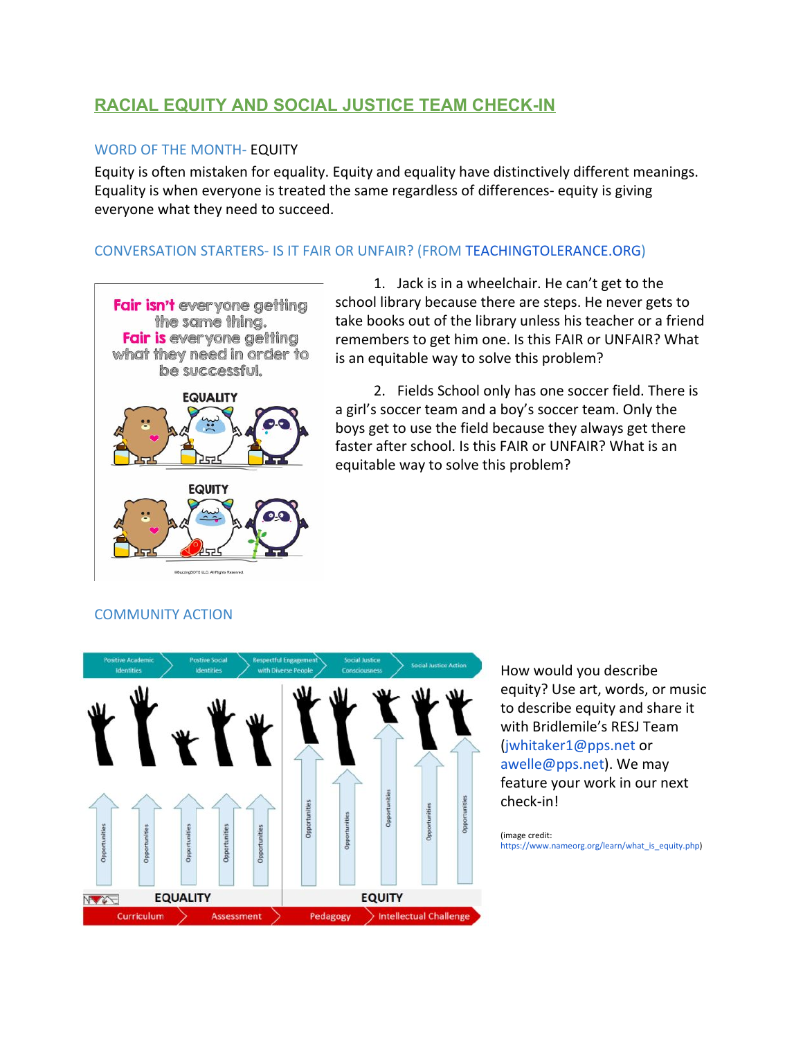# **RACIAL EQUITY AND SOCIAL JUSTICE TEAM CHECK-IN**

### WORD OF THE MONTH- EQUITY

Equity is often mistaken for equality. Equity and equality have distinctively different meanings. Equality is when everyone is treated the same regardless of differences- equity is giving everyone what they need to succeed.

## CONVERSATION STARTERS- IS IT FAIR OR UNFAIR? (FROM [TEACHINGTOLERANCE.ORG](http://teachingtolerance.org/))



1. Jack is in a wheelchair. He can't get to the school library because there are steps. He never gets to take books out of the library unless his teacher or a friend remembers to get him one. Is this FAIR or UNFAIR? What is an equitable way to solve this problem?

2. Fields School only has one soccer field. There is a girl's soccer team and a boy's soccer team. Only the boys get to use the field because they always get there faster after school. Is this FAIR or UNFAIR? What is an equitable way to solve this problem?

#### COMMUNITY ACTION



How would you describe equity? Use art, words, or music to describe equity and share it with Bridlemile's RESJ Team (jwhitaker1@pps.net or awelle@pps.net). We may feature your work in our next check-in!

(image credit: [https://www.nameorg.org/learn/what\\_is\\_equity.php\)](https://www.nameorg.org/learn/what_is_equity.php)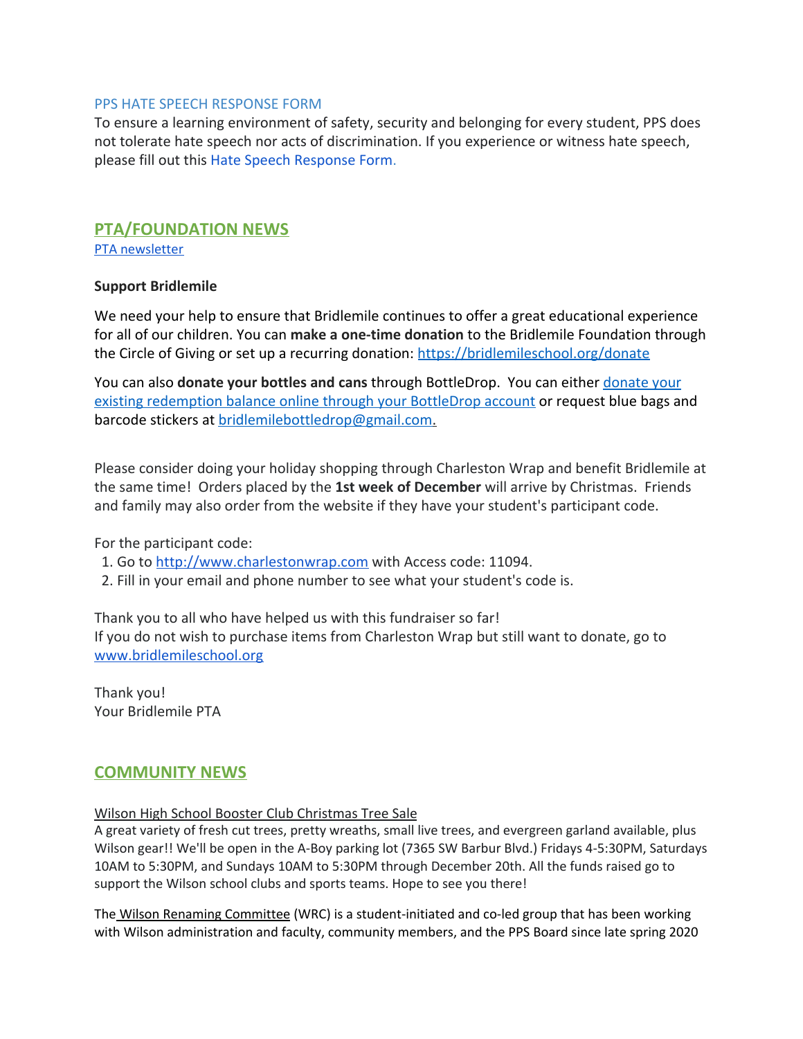#### PPS HATE SPEECH RESPONSE FORM

To ensure a learning environment of safety, security and belonging for every student, PPS does not tolerate hate speech nor acts of discrimination. If you experience or witness hate speech, please fill out this [Hate Speech Response Form](https://docs.google.com/forms/d/e/1FAIpQLScBgOKMOV-xv4yfPk9DnciUMqkQ7E_Us3JaXcTf_lUIUmWnoA/viewform).

## **PTA/FOUNDATION NEWS**

PTA [newsletter](https://docs.google.com/document/d/e/2PACX-1vQlZCPHtKxqO7qpJwiwgoeaZ1ERHVLgg6z0JNYJMTulwn7xlOVY_X2I1ZV9nntsGHP57LEZ_uSufaFj/pub)

### **Support Bridlemile**

We need your help to ensure that Bridlemile continues to offer a great educational experience for all of our children. You can **make a one-time donation** to the Bridlemile Foundation through the Circle of Giving or set up a recurring donation: <https://bridlemileschool.org/donate>

You can also **[donate your](https://www.bottledropcenters.com/donate-nonprofits/) bottles and cans** through BottleDrop. You can either *donate your* [existing redemption balance online through your BottleDrop account](https://www.bottledropcenters.com/donate-nonprofits/) or request blue bags and barcode stickers at bridlemilebottledrop@gmail.com.

Please consider doing your holiday shopping through Charleston Wrap and benefit Bridlemile at the same time! Orders placed by the **1st week of December** will arrive by Christmas. Friends and family may also order from the website if they have your student's participant code.

For the participant code:

- 1. Go to [http://www.charlestonwrap.com](http://www.charlestonwrap.com/) with Access code: 11094.
- 2. Fill in your email and phone number to see what your student's code is.

Thank you to all who have helped us with this fundraiser so far! If you do not wish to purchase items from Charleston Wrap but still want to donate, go to [www.bridlemileschool.org](http://www.bridlemileschool.org/)

Thank you! Your Bridlemile PTA

## **COMMUNITY NEWS**

#### Wilson High School Booster Club Christmas Tree Sale

A great variety of fresh cut trees, pretty wreaths, small live trees, and evergreen garland available, plus Wilson gear!! We'll be open in the A-Boy parking lot (7365 SW Barbur Blvd.) Fridays 4-5:30PM, Saturdays 10AM to 5:30PM, and Sundays 10AM to 5:30PM through December 20th. All the funds raised go to support the Wilson school clubs and sports teams. Hope to see you there!

The Wilson Renaming Committee (WRC) is a student-initiated and co-led group that has been working with Wilson administration and faculty, community members, and the PPS Board since late spring 2020